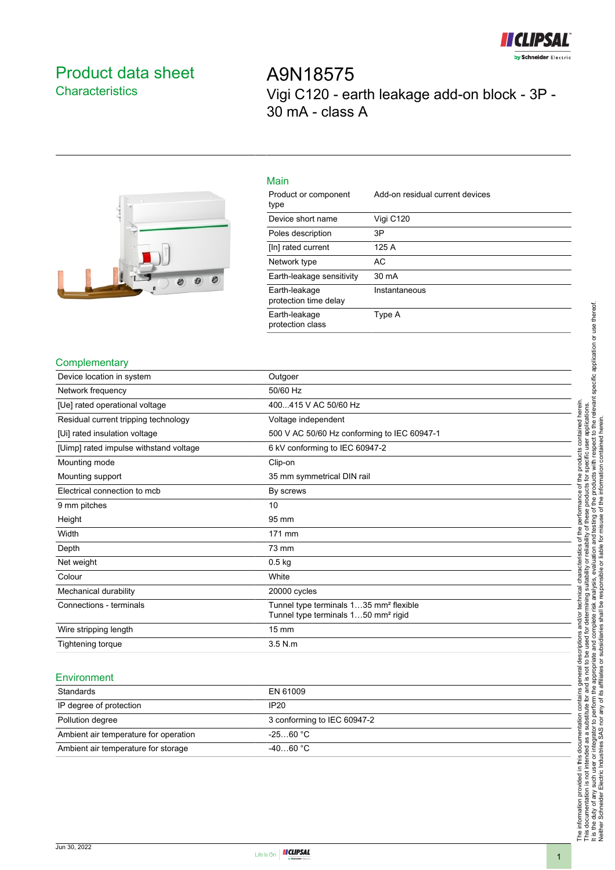

## <span id="page-0-0"></span>Product data sheet **Characteristics**

A9N18575 Vigi C120 - earth leakage add-on block - 3P - 30 mA - class A



| Main                                   |                                 |
|----------------------------------------|---------------------------------|
| Product or component<br>type           | Add-on residual current devices |
| Device short name                      | Vigi C120                       |
| Poles description                      | 3P                              |
| [In] rated current                     | 125 A                           |
| Network type                           | AC                              |
| Earth-leakage sensitivity              | 30 mA                           |
| Earth-leakage<br>protection time delay | Instantaneous                   |
| Earth-leakage<br>protection class      | Type A                          |

#### **Complementary**

| Device location in system              | Outgoer                                            |
|----------------------------------------|----------------------------------------------------|
| Network frequency                      | 50/60 Hz                                           |
| [Ue] rated operational voltage         | 400415 V AC 50/60 Hz                               |
| Residual current tripping technology   | Voltage independent                                |
| [Ui] rated insulation voltage          | 500 V AC 50/60 Hz conforming to IEC 60947-1        |
| [Uimp] rated impulse withstand voltage | 6 kV conforming to IEC 60947-2                     |
| Mounting mode                          | Clip-on                                            |
| Mounting support                       | 35 mm symmetrical DIN rail                         |
| Electrical connection to mcb           | By screws                                          |
| 9 mm pitches                           | 10                                                 |
| Height                                 | 95 mm                                              |
| Width                                  | 171 mm                                             |
| Depth                                  | 73 mm                                              |
| Net weight                             | $0.5$ kg                                           |
| Colour                                 | White                                              |
| Mechanical durability                  | 20000 cycles                                       |
| Connections - terminals                | Tunnel type terminals 135 mm <sup>2</sup> flexible |
|                                        | Tunnel type terminals 150 mm <sup>2</sup> rigid    |
| Wire stripping length                  | $15 \text{ mm}$                                    |
| Tightening torque                      | 3.5 N.m                                            |

#### **Environment**

| Standards                             | EN 61009                    |
|---------------------------------------|-----------------------------|
| IP degree of protection               | IP20                        |
| Pollution degree                      | 3 conforming to IEC 60947-2 |
| Ambient air temperature for operation | $-2560 °C$                  |
| Ambient air temperature for storage   | $-4060 °C$                  |